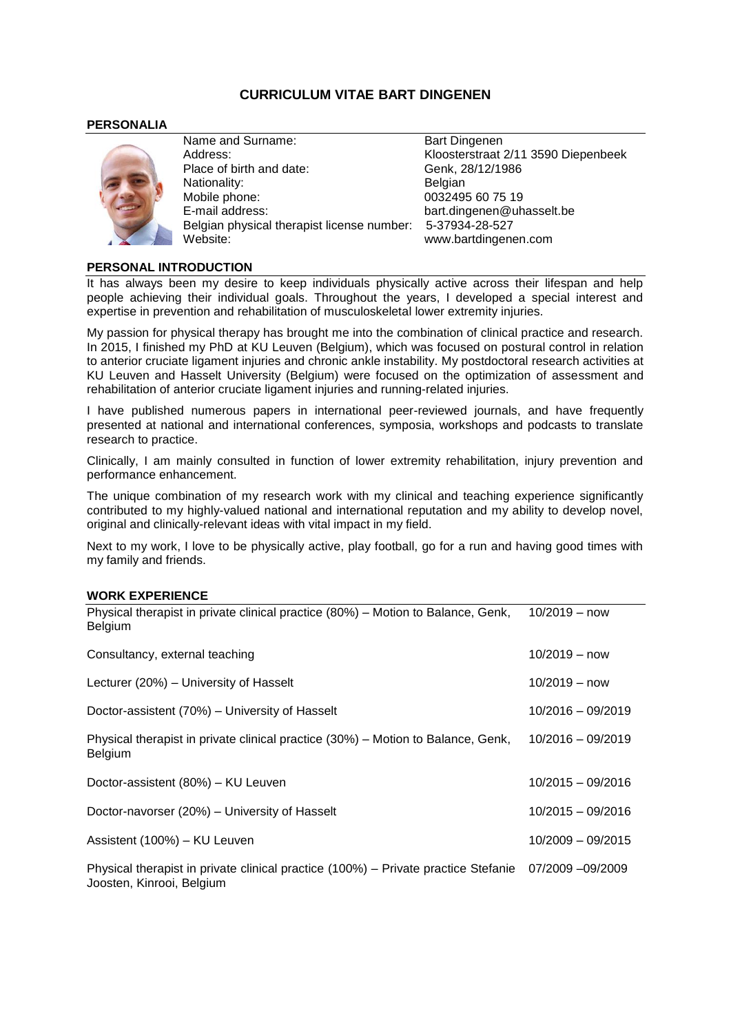# **CURRICULUM VITAE BART DINGENEN**

# **PERSONALIA**



Name and Surname: Bart Dingenen Address: Kloosterstraat 2/11 3590 Diepenbeek Place of birth and date: Genk, 28/12/1986 Nationality: Belgian Mobile phone: 0032495 60 75 19<br>E-mail address: compared bart.dingenen@uh Belgian physical therapist license number: 5-37934-28-527 Website: www.bartdingenen.com

bart.dingenen@uhasselt.be

# **PERSONAL INTRODUCTION**

It has always been my desire to keep individuals physically active across their lifespan and help people achieving their individual goals. Throughout the years, I developed a special interest and expertise in prevention and rehabilitation of musculoskeletal lower extremity injuries.

My passion for physical therapy has brought me into the combination of clinical practice and research. In 2015, I finished my PhD at KU Leuven (Belgium), which was focused on postural control in relation to anterior cruciate ligament injuries and chronic ankle instability. My postdoctoral research activities at KU Leuven and Hasselt University (Belgium) were focused on the optimization of assessment and rehabilitation of anterior cruciate ligament injuries and running-related injuries.

I have published numerous papers in international peer-reviewed journals, and have frequently presented at national and international conferences, symposia, workshops and podcasts to translate research to practice.

Clinically, I am mainly consulted in function of lower extremity rehabilitation, injury prevention and performance enhancement.

The unique combination of my research work with my clinical and teaching experience significantly contributed to my highly-valued national and international reputation and my ability to develop novel, original and clinically-relevant ideas with vital impact in my field.

Next to my work, I love to be physically active, play football, go for a run and having good times with my family and friends.

# **WORK EXPERIENCE**

| Physical therapist in private clinical practice (80%) – Motion to Balance, Genk,<br>Belgium                     | $10/2019 - now$     |
|-----------------------------------------------------------------------------------------------------------------|---------------------|
| Consultancy, external teaching                                                                                  | $10/2019 - now$     |
| Lecturer (20%) – University of Hasselt                                                                          | $10/2019 - now$     |
| Doctor-assistent (70%) - University of Hasselt                                                                  | $10/2016 - 09/2019$ |
| Physical therapist in private clinical practice (30%) – Motion to Balance, Genk,<br>Belgium                     | $10/2016 - 09/2019$ |
| Doctor-assistent (80%) - KU Leuven                                                                              | $10/2015 - 09/2016$ |
| Doctor-navorser (20%) - University of Hasselt                                                                   | $10/2015 - 09/2016$ |
| Assistent (100%) - KU Leuven                                                                                    | $10/2009 - 09/2015$ |
| Physical therapist in private clinical practice (100%) – Private practice Stefanie<br>Joosten, Kinrooi, Belgium | 07/2009 -09/2009    |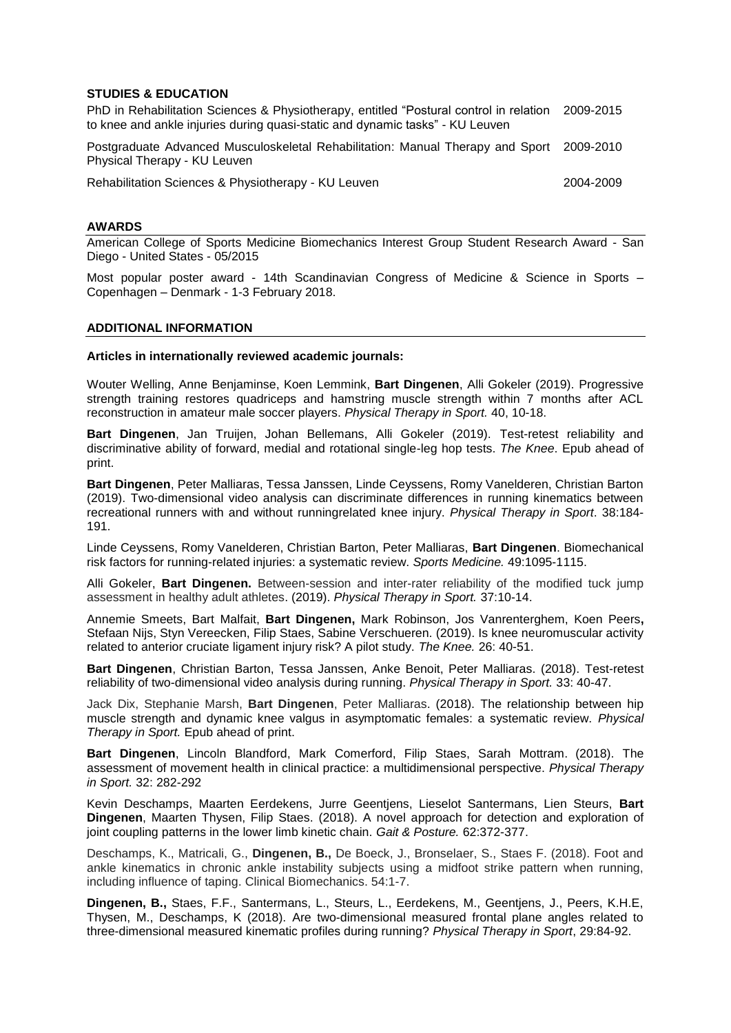### **STUDIES & EDUCATION**

| PhD in Rehabilitation Sciences & Physiotherapy, entitled "Postural control in relation 2009-2015 |  |
|--------------------------------------------------------------------------------------------------|--|
| to knee and ankle injuries during quasi-static and dynamic tasks" - KU Leuven                    |  |

Postgraduate Advanced Musculoskeletal Rehabilitation: Manual Therapy and Sport 2009-2010 Physical Therapy - KU Leuven

Rehabilitation Sciences & Physiotherapy - KU Leuven 2004-2009 2004-2009

#### **AWARDS**

American College of Sports Medicine Biomechanics Interest Group Student Research Award - San Diego - United States - 05/2015

Most popular poster award - 14th Scandinavian Congress of Medicine & Science in Sports – Copenhagen – Denmark - 1-3 February 2018.

#### **ADDITIONAL INFORMATION**

#### **Articles in internationally reviewed academic journals:**

Wouter Welling, Anne Benjaminse, Koen Lemmink, **Bart Dingenen**, Alli Gokeler (2019). Progressive strength training restores quadriceps and hamstring muscle strength within 7 months after ACL reconstruction in amateur male soccer players. *Physical Therapy in Sport.* 40, 10-18.

**Bart Dingenen**, Jan Truijen, Johan Bellemans, Alli Gokeler (2019). Test-retest reliability and discriminative ability of forward, medial and rotational single-leg hop tests. *The Knee*. Epub ahead of print.

**Bart Dingenen**, Peter Malliaras, Tessa Janssen, Linde Ceyssens, Romy Vanelderen, Christian Barton (2019). Two-dimensional video analysis can discriminate differences in running kinematics between recreational runners with and without runningrelated knee injury. *Physical Therapy in Sport*. 38:184- 191.

Linde Ceyssens, Romy Vanelderen, Christian Barton, Peter Malliaras, **Bart Dingenen**. Biomechanical risk factors for running-related injuries: a systematic review. *Sports Medicine.* 49:1095-1115.

Alli Gokeler, **Bart Dingenen.** Between-session and inter-rater reliability of the modified tuck jump assessment in healthy adult athletes. (2019). *Physical Therapy in Sport.* 37:10-14.

Annemie Smeets, Bart Malfait, **Bart Dingenen,** Mark Robinson, Jos Vanrenterghem, Koen Peers**,** Stefaan Nijs, Styn Vereecken, Filip Staes, Sabine Verschueren. (2019). Is knee neuromuscular activity related to anterior cruciate ligament injury risk? A pilot study. *The Knee.* 26: 40-51.

**Bart Dingenen**, Christian Barton, Tessa Janssen, Anke Benoit, Peter Malliaras. (2018). Test-retest reliability of two-dimensional video analysis during running. *Physical Therapy in Sport.* 33: 40-47.

Jack Dix, Stephanie Marsh, **Bart Dingenen**, Peter Malliaras. (2018). The relationship between hip muscle strength and dynamic knee valgus in asymptomatic females: a systematic review. *Physical Therapy in Sport.* Epub ahead of print.

**Bart Dingenen**, Lincoln Blandford, Mark Comerford, Filip Staes, Sarah Mottram. (2018). The assessment of movement health in clinical practice: a multidimensional perspective. *Physical Therapy in Sport.* 32: 282-292

Kevin Deschamps, Maarten Eerdekens, Jurre Geentjens, Lieselot Santermans, Lien Steurs, **Bart Dingenen**, Maarten Thysen, Filip Staes. (2018). A novel approach for detection and exploration of joint coupling patterns in the lower limb kinetic chain. *Gait & Posture.* 62:372-377.

Deschamps, K., Matricali, G., **Dingenen, B.,** De Boeck, J., Bronselaer, S., Staes F. (2018). Foot and ankle kinematics in chronic ankle instability subjects using a midfoot strike pattern when running, including influence of taping. Clinical Biomechanics. 54:1-7.

**Dingenen, B.,** Staes, F.F., Santermans, L., Steurs, L., Eerdekens, M., Geentjens, J., Peers, K.H.E, Thysen, M., Deschamps, K (2018). [Are two-dimensional measured frontal plane angles related to](https://www-ncbi-nlm-nih-gov.kuleuven.ezproxy.kuleuven.be/pubmed/28642097)  [three-dimensional measured kinematic profiles during running?](https://www-ncbi-nlm-nih-gov.kuleuven.ezproxy.kuleuven.be/pubmed/28642097) *Physical Therapy in Sport*, 29:84-92.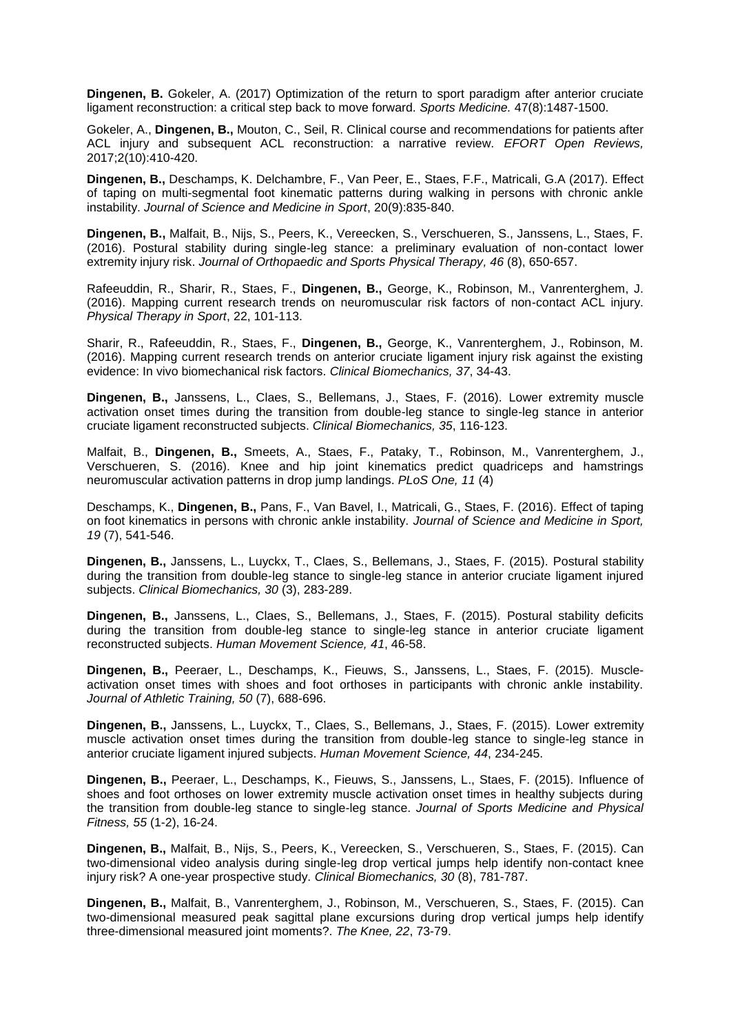**Dingenen, B.** Gokeler, A. (2017) Optimization of the return to sport paradigm after anterior cruciate ligament reconstruction: a critical step back to move forward. *Sports Medicine.* 47(8):1487-1500.

Gokeler, A., **Dingenen, B.,** Mouton, C., Seil, R. Clinical course and recommendations for patients after ACL injury and subsequent ACL reconstruction: a narrative review. *EFORT Open Reviews,* 2017;2(10):410-420.

**Dingenen, B.,** Deschamps, K. Delchambre, F., Van Peer, E., Staes, F.F., Matricali, G.A (2017). [Effect](https://www-ncbi-nlm-nih-gov.kuleuven.ezproxy.kuleuven.be/pubmed/28483559)  [of taping on multi-segmental foot kinematic patterns during walking in persons with chronic ankle](https://www-ncbi-nlm-nih-gov.kuleuven.ezproxy.kuleuven.be/pubmed/28483559)  [instability.](https://www-ncbi-nlm-nih-gov.kuleuven.ezproxy.kuleuven.be/pubmed/28483559) *Journal of Science and Medicine in Sport*, 20(9):835-840.

**Dingenen, B.,** Malfait, B., Nijs, S., Peers, K., Vereecken, S., Verschueren, S., Janssens, L., Staes, F. (2016). Postural stability during single-leg stance: a preliminary evaluation of non-contact lower extremity injury risk. *Journal of Orthopaedic and Sports Physical Therapy, 46* (8), 650-657.

Rafeeuddin, R., Sharir, R., Staes, F., **Dingenen, B.,** George, K., Robinson, M., Vanrenterghem, J. (2016). Mapping current research trends on neuromuscular risk factors of non-contact ACL injury. *Physical Therapy in Sport*, 22, 101-113.

Sharir, R., Rafeeuddin, R., Staes, F., **Dingenen, B.,** George, K., Vanrenterghem, J., Robinson, M. (2016). Mapping current research trends on anterior cruciate ligament injury risk against the existing evidence: In vivo biomechanical risk factors. *Clinical Biomechanics, 37*, 34-43.

**Dingenen, B.,** Janssens, L., Claes, S., Bellemans, J., Staes, F. (2016). Lower extremity muscle activation onset times during the transition from double-leg stance to single-leg stance in anterior cruciate ligament reconstructed subjects. *Clinical Biomechanics, 35*, 116-123.

Malfait, B., **Dingenen, B.,** Smeets, A., Staes, F., Pataky, T., Robinson, M., Vanrenterghem, J., Verschueren, S. (2016). Knee and hip joint kinematics predict quadriceps and hamstrings neuromuscular activation patterns in drop jump landings. *PLoS One, 11* (4)

Deschamps, K., **Dingenen, B.,** Pans, F., Van Bavel, I., Matricali, G., Staes, F. (2016). Effect of taping on foot kinematics in persons with chronic ankle instability. *Journal of Science and Medicine in Sport, 19* (7), 541-546.

**Dingenen, B.,** Janssens, L., Luyckx, T., Claes, S., Bellemans, J., Staes, F. (2015). Postural stability during the transition from double-leg stance to single-leg stance in anterior cruciate ligament injured subjects. *Clinical Biomechanics, 30* (3), 283-289.

**Dingenen, B.,** Janssens, L., Claes, S., Bellemans, J., Staes, F. (2015). Postural stability deficits during the transition from double-leg stance to single-leg stance in anterior cruciate ligament reconstructed subjects. *Human Movement Science, 41*, 46-58.

**Dingenen, B.,** Peeraer, L., Deschamps, K., Fieuws, S., Janssens, L., Staes, F. (2015). Muscleactivation onset times with shoes and foot orthoses in participants with chronic ankle instability. *Journal of Athletic Training, 50* (7), 688-696.

**Dingenen, B.,** Janssens, L., Luyckx, T., Claes, S., Bellemans, J., Staes, F. (2015). Lower extremity muscle activation onset times during the transition from double-leg stance to single-leg stance in anterior cruciate ligament injured subjects. *Human Movement Science, 44*, 234-245.

**Dingenen, B.,** Peeraer, L., Deschamps, K., Fieuws, S., Janssens, L., Staes, F. (2015). Influence of shoes and foot orthoses on lower extremity muscle activation onset times in healthy subjects during the transition from double-leg stance to single-leg stance. *Journal of Sports Medicine and Physical Fitness, 55* (1-2), 16-24.

**Dingenen, B.,** Malfait, B., Nijs, S., Peers, K., Vereecken, S., Verschueren, S., Staes, F. (2015). Can two-dimensional video analysis during single-leg drop vertical jumps help identify non-contact knee injury risk? A one-year prospective study. *Clinical Biomechanics, 30* (8), 781-787.

**Dingenen, B.,** Malfait, B., Vanrenterghem, J., Robinson, M., Verschueren, S., Staes, F. (2015). Can two-dimensional measured peak sagittal plane excursions during drop vertical jumps help identify three-dimensional measured joint moments?. *The Knee, 22*, 73-79.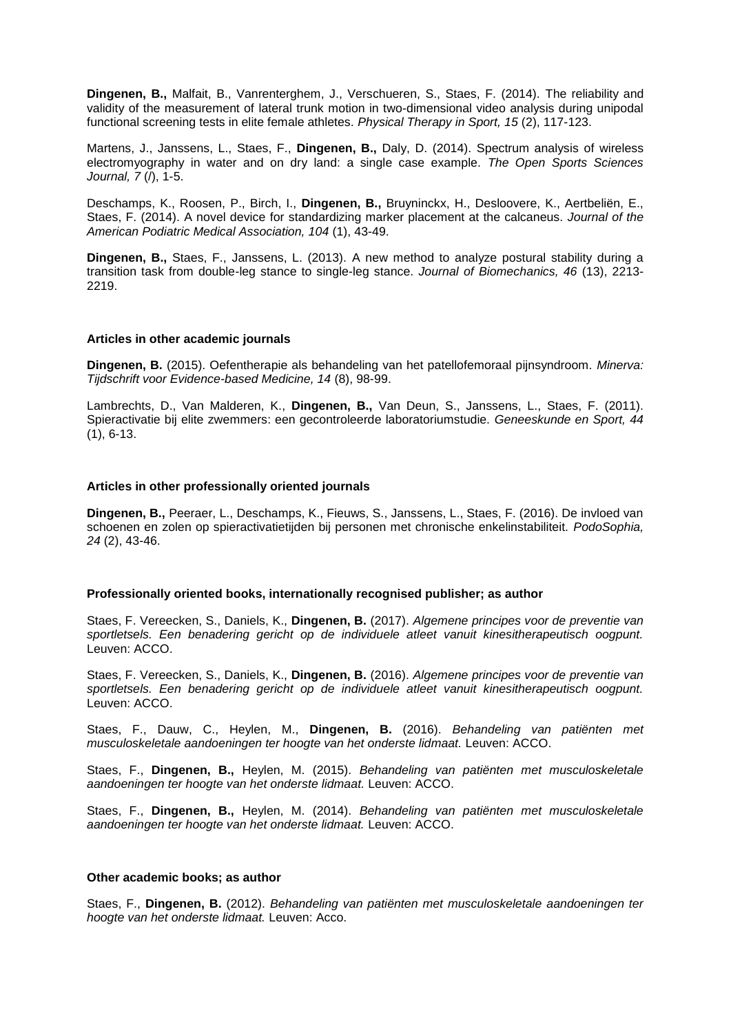**Dingenen, B.,** Malfait, B., Vanrenterghem, J., Verschueren, S., Staes, F. (2014). The reliability and validity of the measurement of lateral trunk motion in two-dimensional video analysis during unipodal functional screening tests in elite female athletes. *Physical Therapy in Sport, 15* (2), 117-123.

Martens, J., Janssens, L., Staes, F., **Dingenen, B.,** Daly, D. (2014). Spectrum analysis of wireless electromyography in water and on dry land: a single case example. *The Open Sports Sciences Journal, 7* (/), 1-5.

Deschamps, K., Roosen, P., Birch, I., **Dingenen, B.,** Bruyninckx, H., Desloovere, K., Aertbeliën, E., Staes, F. (2014). A novel device for standardizing marker placement at the calcaneus. *Journal of the American Podiatric Medical Association, 104* (1), 43-49.

**Dingenen, B.,** Staes, F., Janssens, L. (2013). A new method to analyze postural stability during a transition task from double-leg stance to single-leg stance. *Journal of Biomechanics, 46* (13), 2213- 2219.

#### **Articles in other academic journals**

**Dingenen, B.** (2015). Oefentherapie als behandeling van het patellofemoraal pijnsyndroom. *Minerva: Tijdschrift voor Evidence-based Medicine, 14* (8), 98-99.

Lambrechts, D., Van Malderen, K., **Dingenen, B.,** Van Deun, S., Janssens, L., Staes, F. (2011). Spieractivatie bij elite zwemmers: een gecontroleerde laboratoriumstudie. *Geneeskunde en Sport, 44* (1), 6-13.

#### **Articles in other professionally oriented journals**

**Dingenen, B.,** Peeraer, L., Deschamps, K., Fieuws, S., Janssens, L., Staes, F. (2016). De invloed van schoenen en zolen op spieractivatietijden bij personen met chronische enkelinstabiliteit. *PodoSophia, 24* (2), 43-46.

#### **Professionally oriented books, internationally recognised publisher; as author**

Staes, F. Vereecken, S., Daniels, K., **Dingenen, B.** (2017). *Algemene principes voor de preventie van sportletsels. Een benadering gericht op de individuele atleet vanuit kinesitherapeutisch oogpunt.* Leuven: ACCO.

Staes, F. Vereecken, S., Daniels, K., **Dingenen, B.** (2016). *Algemene principes voor de preventie van sportletsels. Een benadering gericht op de individuele atleet vanuit kinesitherapeutisch oogpunt.* Leuven: ACCO.

Staes, F., Dauw, C., Heylen, M., **Dingenen, B.** (2016). *Behandeling van patiënten met musculoskeletale aandoeningen ter hoogte van het onderste lidmaat.* Leuven: ACCO.

Staes, F., **Dingenen, B.,** Heylen, M. (2015). *Behandeling van patiënten met musculoskeletale aandoeningen ter hoogte van het onderste lidmaat.* Leuven: ACCO.

Staes, F., **Dingenen, B.,** Heylen, M. (2014). *Behandeling van patiënten met musculoskeletale aandoeningen ter hoogte van het onderste lidmaat.* Leuven: ACCO.

#### **Other academic books; as author**

Staes, F., **Dingenen, B.** (2012). *Behandeling van patiënten met musculoskeletale aandoeningen ter hoogte van het onderste lidmaat.* Leuven: Acco.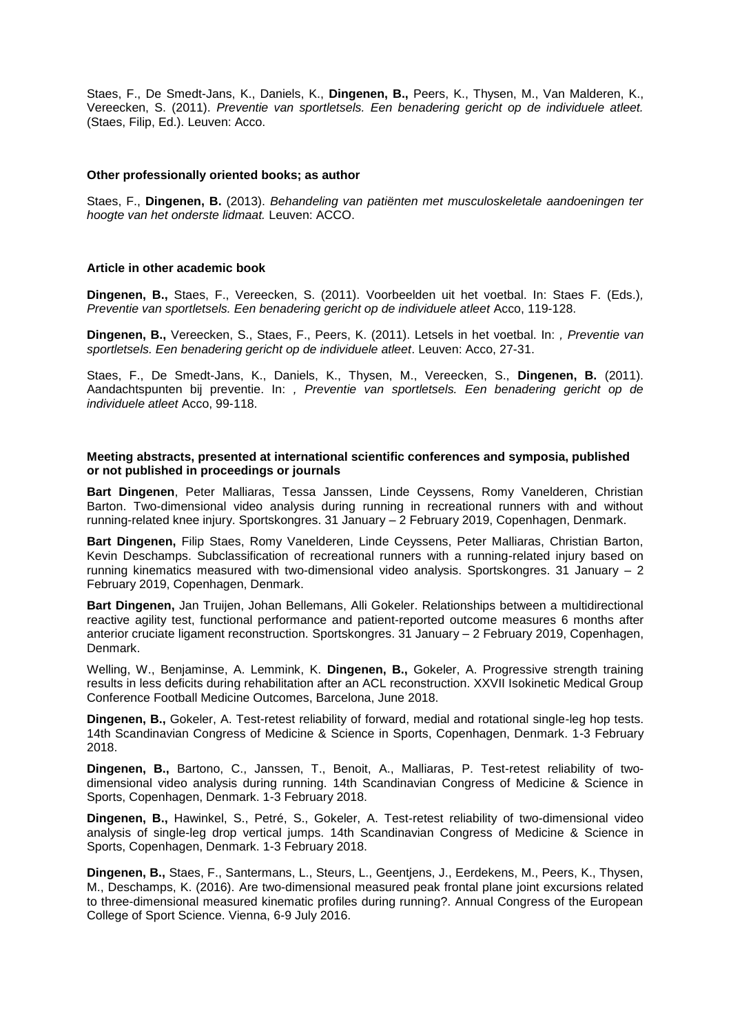Staes, F., De Smedt-Jans, K., Daniels, K., **Dingenen, B.,** Peers, K., Thysen, M., Van Malderen, K., Vereecken, S. (2011). *Preventie van sportletsels. Een benadering gericht op de individuele atleet.*  (Staes, Filip, Ed.). Leuven: Acco.

### **Other professionally oriented books; as author**

Staes, F., **Dingenen, B.** (2013). *Behandeling van patiënten met musculoskeletale aandoeningen ter hoogte van het onderste lidmaat.* Leuven: ACCO.

#### **Article in other academic book**

**Dingenen, B.,** Staes, F., Vereecken, S. (2011). Voorbeelden uit het voetbal. In: Staes F. (Eds.)*, Preventie van sportletsels. Een benadering gericht op de individuele atleet* Acco, 119-128.

**Dingenen, B.,** Vereecken, S., Staes, F., Peers, K. (2011). Letsels in het voetbal. In: *, Preventie van sportletsels. Een benadering gericht op de individuele atleet*. Leuven: Acco, 27-31.

Staes, F., De Smedt-Jans, K., Daniels, K., Thysen, M., Vereecken, S., **Dingenen, B.** (2011). Aandachtspunten bij preventie. In: *, Preventie van sportletsels. Een benadering gericht op de individuele atleet* Acco, 99-118.

#### **Meeting abstracts, presented at international scientific conferences and symposia, published or not published in proceedings or journals**

**Bart Dingenen**, Peter Malliaras, Tessa Janssen, Linde Ceyssens, Romy Vanelderen, Christian Barton. Two-dimensional video analysis during running in recreational runners with and without running-related knee injury. Sportskongres. 31 January – 2 February 2019, Copenhagen, Denmark.

**Bart Dingenen,** Filip Staes, Romy Vanelderen, Linde Ceyssens, Peter Malliaras, Christian Barton, Kevin Deschamps. Subclassification of recreational runners with a running-related injury based on running kinematics measured with two-dimensional video analysis. Sportskongres. 31 January – 2 February 2019, Copenhagen, Denmark.

**Bart Dingenen,** Jan Truijen, Johan Bellemans, Alli Gokeler. Relationships between a multidirectional reactive agility test, functional performance and patient-reported outcome measures 6 months after anterior cruciate ligament reconstruction. Sportskongres. 31 January – 2 February 2019, Copenhagen, Denmark.

Welling, W., Benjaminse, A. Lemmink, K. **Dingenen, B.,** Gokeler, A. Progressive strength training results in less deficits during rehabilitation after an ACL reconstruction. XXVII Isokinetic Medical Group Conference Football Medicine Outcomes, Barcelona, June 2018.

**Dingenen, B.,** Gokeler, A. Test-retest reliability of forward, medial and rotational single-leg hop tests. 14th Scandinavian Congress of Medicine & Science in Sports, Copenhagen, Denmark. 1-3 February 2018.

**Dingenen, B.,** Bartono, C., Janssen, T., Benoit, A., Malliaras, P. Test-retest reliability of twodimensional video analysis during running. 14th Scandinavian Congress of Medicine & Science in Sports, Copenhagen, Denmark. 1-3 February 2018.

**Dingenen, B.,** Hawinkel, S., Petré, S., Gokeler, A. Test-retest reliability of two-dimensional video analysis of single-leg drop vertical jumps. 14th Scandinavian Congress of Medicine & Science in Sports, Copenhagen, Denmark. 1-3 February 2018.

**Dingenen, B.,** Staes, F., Santermans, L., Steurs, L., Geentjens, J., Eerdekens, M., Peers, K., Thysen, M., Deschamps, K. (2016). Are two-dimensional measured peak frontal plane joint excursions related to three-dimensional measured kinematic profiles during running?. Annual Congress of the European College of Sport Science. Vienna, 6-9 July 2016.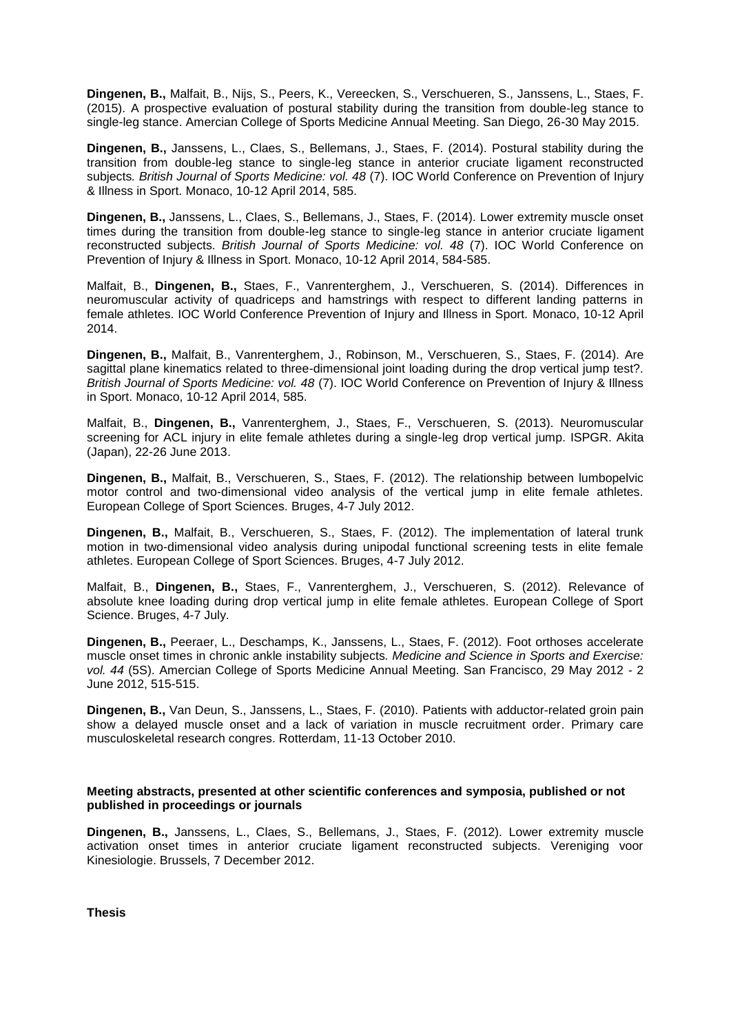**Dingenen, B.,** Malfait, B., Nijs, S., Peers, K., Vereecken, S., Verschueren, S., Janssens, L., Staes, F. (2015). A prospective evaluation of postural stability during the transition from double-leg stance to single-leg stance. Amercian College of Sports Medicine Annual Meeting. San Diego, 26-30 May 2015.

**Dingenen, B.,** Janssens, L., Claes, S., Bellemans, J., Staes, F. (2014). Postural stability during the transition from double-leg stance to single-leg stance in anterior cruciate ligament reconstructed subjects*. British Journal of Sports Medicine: vol. 48* (7). IOC World Conference on Prevention of Injury & Illness in Sport. Monaco, 10-12 April 2014, 585.

**Dingenen, B.,** Janssens, L., Claes, S., Bellemans, J., Staes, F. (2014). Lower extremity muscle onset times during the transition from double-leg stance to single-leg stance in anterior cruciate ligament reconstructed subjects*. British Journal of Sports Medicine: vol. 48* (7). IOC World Conference on Prevention of Injury & Illness in Sport. Monaco, 10-12 April 2014, 584-585.

Malfait, B., **Dingenen, B.,** Staes, F., Vanrenterghem, J., Verschueren, S. (2014). Differences in neuromuscular activity of quadriceps and hamstrings with respect to different landing patterns in female athletes. IOC World Conference Prevention of Injury and Illness in Sport. Monaco, 10-12 April 2014.

**Dingenen, B.,** Malfait, B., Vanrenterghem, J., Robinson, M., Verschueren, S., Staes, F. (2014). Are sagittal plane kinematics related to three-dimensional joint loading during the drop vertical jump test?*. British Journal of Sports Medicine: vol. 48* (7). IOC World Conference on Prevention of Injury & Illness in Sport. Monaco, 10-12 April 2014, 585.

Malfait, B., **Dingenen, B.,** Vanrenterghem, J., Staes, F., Verschueren, S. (2013). Neuromuscular screening for ACL injury in elite female athletes during a single-leg drop vertical jump. ISPGR. Akita (Japan), 22-26 June 2013.

**Dingenen, B.,** Malfait, B., Verschueren, S., Staes, F. (2012). The relationship between lumbopelvic motor control and two-dimensional video analysis of the vertical jump in elite female athletes. European College of Sport Sciences. Bruges, 4-7 July 2012.

**Dingenen, B.,** Malfait, B., Verschueren, S., Staes, F. (2012). The implementation of lateral trunk motion in two-dimensional video analysis during unipodal functional screening tests in elite female athletes. European College of Sport Sciences. Bruges, 4-7 July 2012.

Malfait, B., **Dingenen, B.,** Staes, F., Vanrenterghem, J., Verschueren, S. (2012). Relevance of absolute knee loading during drop vertical jump in elite female athletes. European College of Sport Science. Bruges, 4-7 July.

**Dingenen, B.,** Peeraer, L., Deschamps, K., Janssens, L., Staes, F. (2012). Foot orthoses accelerate muscle onset times in chronic ankle instability subjects*. Medicine and Science in Sports and Exercise: vol. 44* (5S). Amercian College of Sports Medicine Annual Meeting. San Francisco, 29 May 2012 - 2 June 2012, 515-515.

**Dingenen, B.,** Van Deun, S., Janssens, L., Staes, F. (2010). Patients with adductor-related groin pain show a delayed muscle onset and a lack of variation in muscle recruitment order. Primary care musculoskeletal research congres. Rotterdam, 11-13 October 2010.

### **Meeting abstracts, presented at other scientific conferences and symposia, published or not published in proceedings or journals**

**Dingenen, B.,** Janssens, L., Claes, S., Bellemans, J., Staes, F. (2012). Lower extremity muscle activation onset times in anterior cruciate ligament reconstructed subjects. Vereniging voor Kinesiologie. Brussels, 7 December 2012.

**Thesis**